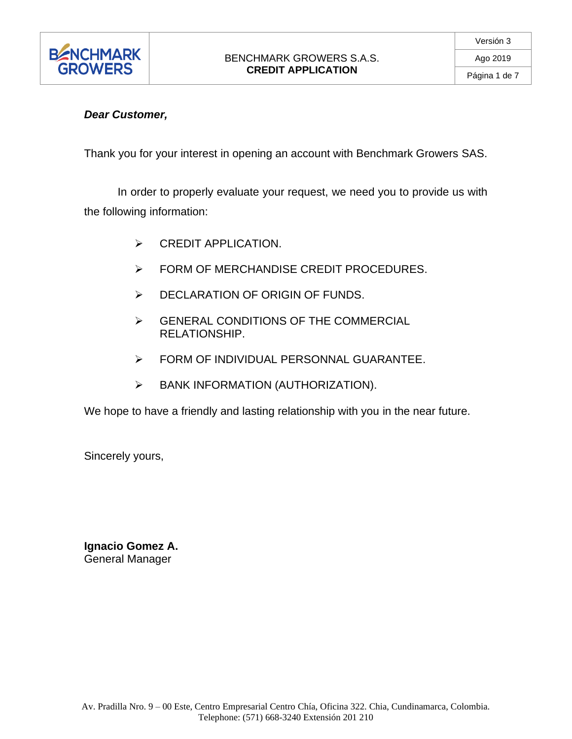

# *Dear Customer,*

Thank you for your interest in opening an account with Benchmark Growers SAS.

In order to properly evaluate your request, we need you to provide us with the following information:

- ➢ CREDIT APPLICATION.
- ➢ FORM OF MERCHANDISE CREDIT PROCEDURES.
- ➢ DECLARATION OF ORIGIN OF FUNDS.
- ➢ GENERAL CONDITIONS OF THE COMMERCIAL RELATIONSHIP.
- ➢ FORM OF INDIVIDUAL PERSONNAL GUARANTEE.
- ➢ BANK INFORMATION (AUTHORIZATION).

We hope to have a friendly and lasting relationship with you in the near future.

Sincerely yours,

**Ignacio Gomez A.** General Manager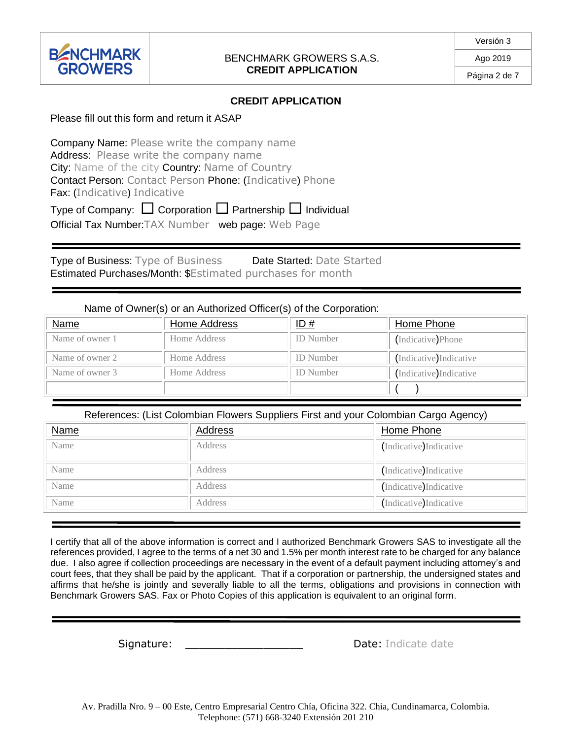

Ago 2019 Página 2 de 7

### **CREDIT APPLICATION**

Please fill out this form and return it ASAP

Company Name: Please write the company name Address: Please write the company name City: Name of the city Country: Name of Country Contact Person: Contact Person Phone: (Indicative) Phone Fax: (Indicative) Indicative

Type of Company:  $\Box$  Corporation  $\Box$  Partnership  $\Box$  Individual

Official Tax Number:TAX Number web page: Web Page

Type of Business: Type of Business Date Started: Date Started Estimated Purchases/Month: \$Estimated purchases for month

Name of Owner(s) or an Authorized Officer(s) of the Corporation:

| <u>Name</u>     | Home Address | ID#              | Home Phone              |
|-----------------|--------------|------------------|-------------------------|
| Name of owner 1 | Home Address | <b>ID</b> Number | (Indicative)Phone       |
| Name of owner 2 | Home Address | <b>ID</b> Number | (Indicative) Indicative |
| Name of owner 3 | Home Address | <b>ID</b> Number | Indicative Indicative   |
|                 |              |                  |                         |

References: (List Colombian Flowers Suppliers First and your Colombian Cargo Agency)

| <b>Name</b> | Address | Home Phone             |
|-------------|---------|------------------------|
| Name        | Address | Indicative) Indicative |
| Name        | Address | Indicative Indicative  |
| Name        | Address | Indicative) Indicative |
| Name        | Address | Indicative) Indicative |

I certify that all of the above information is correct and I authorized Benchmark Growers SAS to investigate all the references provided, I agree to the terms of a net 30 and 1.5% per month interest rate to be charged for any balance due. I also agree if collection proceedings are necessary in the event of a default payment including attorney's and court fees, that they shall be paid by the applicant. That if a corporation or partnership, the undersigned states and affirms that he/she is jointly and severally liable to all the terms, obligations and provisions in connection with Benchmark Growers SAS. Fax or Photo Copies of this application is equivalent to an original form.

Signature: \_\_\_\_\_\_\_\_\_\_\_\_\_\_\_\_\_\_\_\_\_\_\_\_\_\_\_\_\_\_\_\_\_\_Date: Indicate date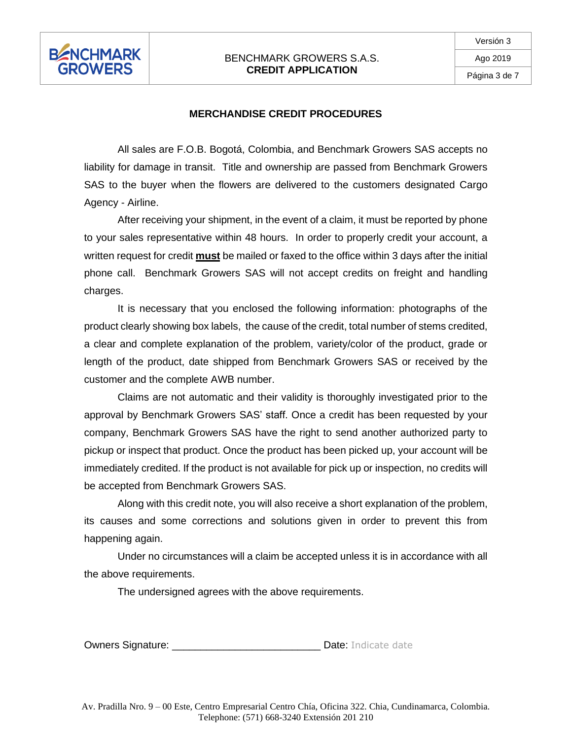

#### **MERCHANDISE CREDIT PROCEDURES**

All sales are F.O.B. Bogotá, Colombia, and Benchmark Growers SAS accepts no liability for damage in transit. Title and ownership are passed from Benchmark Growers SAS to the buyer when the flowers are delivered to the customers designated Cargo Agency - Airline.

After receiving your shipment, in the event of a claim, it must be reported by phone to your sales representative within 48 hours. In order to properly credit your account, a written request for credit **must** be mailed or faxed to the office within 3 days after the initial phone call. Benchmark Growers SAS will not accept credits on freight and handling charges.

It is necessary that you enclosed the following information: photographs of the product clearly showing box labels, the cause of the credit, total number of stems credited, a clear and complete explanation of the problem, variety/color of the product, grade or length of the product, date shipped from Benchmark Growers SAS or received by the customer and the complete AWB number.

Claims are not automatic and their validity is thoroughly investigated prior to the approval by Benchmark Growers SAS' staff. Once a credit has been requested by your company, Benchmark Growers SAS have the right to send another authorized party to pickup or inspect that product. Once the product has been picked up, your account will be immediately credited. If the product is not available for pick up or inspection, no credits will be accepted from Benchmark Growers SAS.

Along with this credit note, you will also receive a short explanation of the problem, its causes and some corrections and solutions given in order to prevent this from happening again.

Under no circumstances will a claim be accepted unless it is in accordance with all the above requirements.

The undersigned agrees with the above requirements.

Owners Signature: \_\_\_\_\_\_\_\_\_\_\_\_\_\_\_\_\_\_\_\_\_\_\_\_\_\_ Date: Indicate date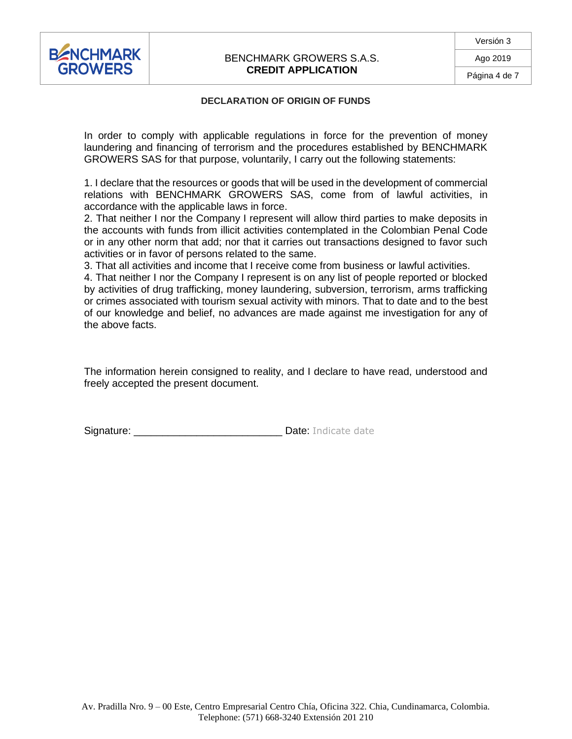

#### **DECLARATION OF ORIGIN OF FUNDS**

In order to comply with applicable regulations in force for the prevention of money laundering and financing of terrorism and the procedures established by BENCHMARK GROWERS SAS for that purpose, voluntarily, I carry out the following statements:

1. I declare that the resources or goods that will be used in the development of commercial relations with BENCHMARK GROWERS SAS, come from of lawful activities, in accordance with the applicable laws in force.

2. That neither I nor the Company I represent will allow third parties to make deposits in the accounts with funds from illicit activities contemplated in the Colombian Penal Code or in any other norm that add; nor that it carries out transactions designed to favor such activities or in favor of persons related to the same.

3. That all activities and income that I receive come from business or lawful activities.

4. That neither I nor the Company I represent is on any list of people reported or blocked by activities of drug trafficking, money laundering, subversion, terrorism, arms trafficking or crimes associated with tourism sexual activity with minors. That to date and to the best of our knowledge and belief, no advances are made against me investigation for any of the above facts.

The information herein consigned to reality, and I declare to have read, understood and freely accepted the present document.

Signature: \_\_\_\_\_\_\_\_\_\_\_\_\_\_\_\_\_\_\_\_\_\_\_\_\_\_ Date: Indicate date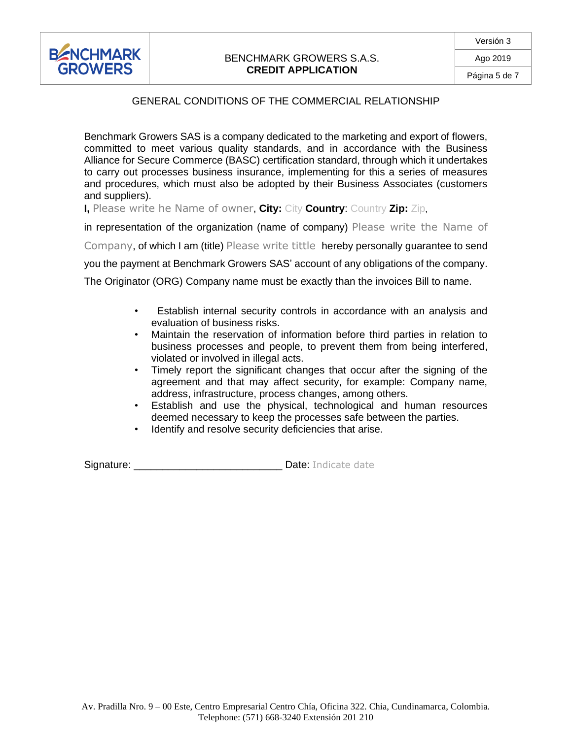

## GENERAL CONDITIONS OF THE COMMERCIAL RELATIONSHIP

Benchmark Growers SAS is a company dedicated to the marketing and export of flowers, committed to meet various quality standards, and in accordance with the Business Alliance for Secure Commerce (BASC) certification standard, through which it undertakes to carry out processes business insurance, implementing for this a series of measures and procedures, which must also be adopted by their Business Associates (customers and suppliers).

**I,** Please write he Name of owner, **City:** City **Country**: Country **Zip:** Zip,

in representation of the organization (name of company) Please write the Name of

Company, of which I am (title) Please write tittle hereby personally guarantee to send

you the payment at Benchmark Growers SAS' account of any obligations of the company.

The Originator (ORG) Company name must be exactly than the invoices Bill to name.

- Establish internal security controls in accordance with an analysis and evaluation of business risks.
- Maintain the reservation of information before third parties in relation to business processes and people, to prevent them from being interfered, violated or involved in illegal acts.
- Timely report the significant changes that occur after the signing of the agreement and that may affect security, for example: Company name, address, infrastructure, process changes, among others.
- Establish and use the physical, technological and human resources deemed necessary to keep the processes safe between the parties.
- Identify and resolve security deficiencies that arise.

Signature: \_\_\_\_\_\_\_\_\_\_\_\_\_\_\_\_\_\_\_\_\_\_\_\_\_\_ Date: Indicate date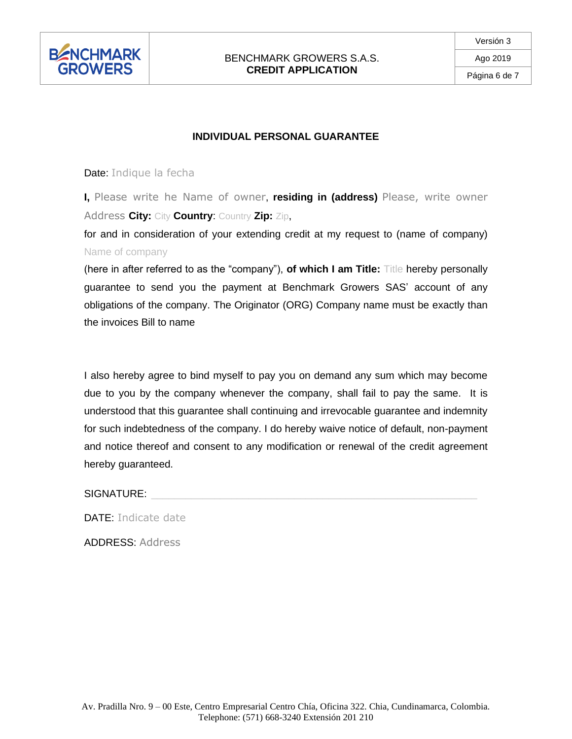

## **INDIVIDUAL PERSONAL GUARANTEE**

#### Date: Indique la fecha

**I,** Please write he Name of owner, **residing in (address)** Please, write owner Address **City:** City **Country**: Country **Zip:** Zip,

for and in consideration of your extending credit at my request to (name of company) Name of company

(here in after referred to as the "company"), **of which I am Title:** Title hereby personally guarantee to send you the payment at Benchmark Growers SAS' account of any obligations of the company. The Originator (ORG) Company name must be exactly than the invoices Bill to name

I also hereby agree to bind myself to pay you on demand any sum which may become due to you by the company whenever the company, shall fail to pay the same. It is understood that this guarantee shall continuing and irrevocable guarantee and indemnity for such indebtedness of the company. I do hereby waive notice of default, non-payment and notice thereof and consent to any modification or renewal of the credit agreement hereby guaranteed.

SIGNATURE:

DATE: Indicate date

ADDRESS: Address